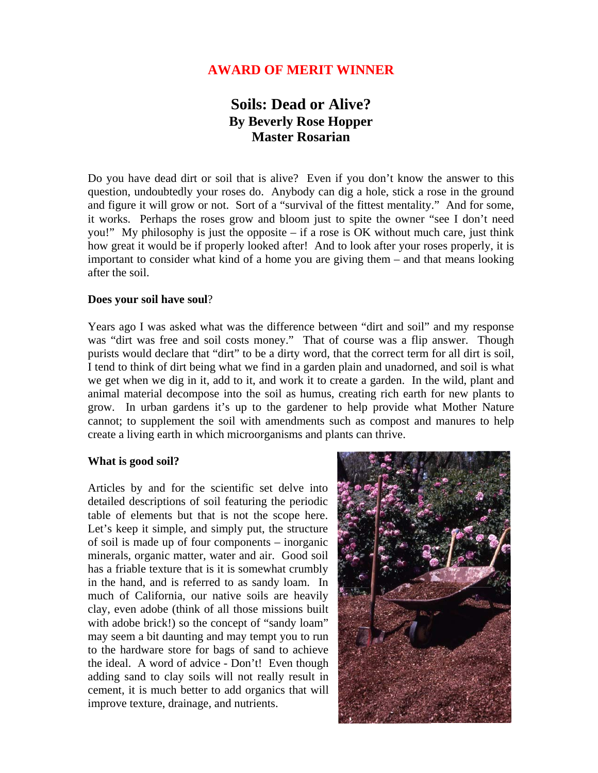# **AWARD OF MERIT WINNER**

# **Soils: Dead or Alive? By Beverly Rose Hopper Master Rosarian**

Do you have dead dirt or soil that is alive? Even if you don't know the answer to this question, undoubtedly your roses do. Anybody can dig a hole, stick a rose in the ground and figure it will grow or not. Sort of a "survival of the fittest mentality." And for some, it works. Perhaps the roses grow and bloom just to spite the owner "see I don't need you!" My philosophy is just the opposite – if a rose is OK without much care, just think how great it would be if properly looked after! And to look after your roses properly, it is important to consider what kind of a home you are giving them – and that means looking after the soil.

#### **Does your soil have soul**?

Years ago I was asked what was the difference between "dirt and soil" and my response was "dirt was free and soil costs money." That of course was a flip answer. Though purists would declare that "dirt" to be a dirty word, that the correct term for all dirt is soil, I tend to think of dirt being what we find in a garden plain and unadorned, and soil is what we get when we dig in it, add to it, and work it to create a garden. In the wild, plant and animal material decompose into the soil as humus, creating rich earth for new plants to grow. In urban gardens it's up to the gardener to help provide what Mother Nature cannot; to supplement the soil with amendments such as compost and manures to help create a living earth in which microorganisms and plants can thrive.

#### **What is good soil?**

Articles by and for the scientific set delve into detailed descriptions of soil featuring the periodic table of elements but that is not the scope here. Let's keep it simple, and simply put, the structure of soil is made up of four components – inorganic minerals, organic matter, water and air. Good soil has a friable texture that is it is somewhat crumbly in the hand, and is referred to as sandy loam. In much of California, our native soils are heavily clay, even adobe (think of all those missions built with adobe brick!) so the concept of "sandy loam" may seem a bit daunting and may tempt you to run to the hardware store for bags of sand to achieve the ideal. A word of advice - Don't! Even though adding sand to clay soils will not really result in cement, it is much better to add organics that will improve texture, drainage, and nutrients.

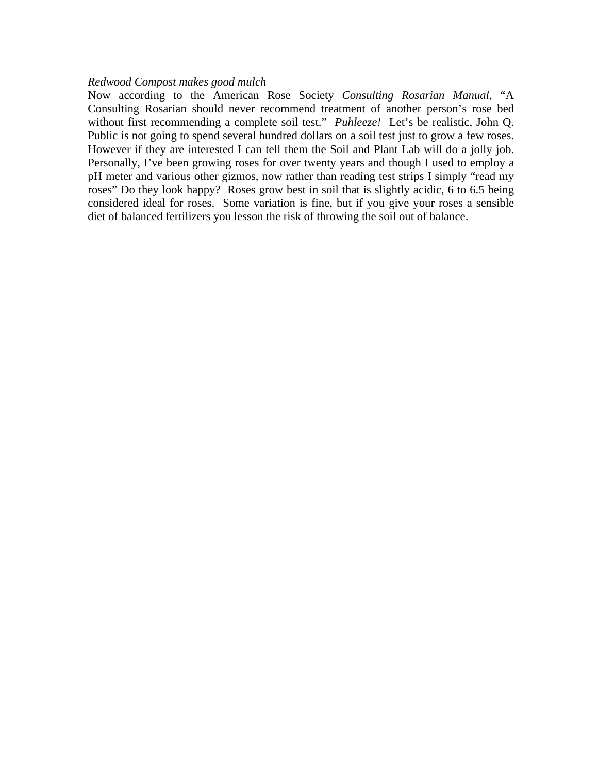#### *Redwood Compost makes good mulch*

Now according to the American Rose Society *Consulting Rosarian Manual*, "A Consulting Rosarian should never recommend treatment of another person's rose bed without first recommending a complete soil test." *Puhleeze!* Let's be realistic, John Q. Public is not going to spend several hundred dollars on a soil test just to grow a few roses. However if they are interested I can tell them the Soil and Plant Lab will do a jolly job. Personally, I've been growing roses for over twenty years and though I used to employ a pH meter and various other gizmos, now rather than reading test strips I simply "read my roses" Do they look happy? Roses grow best in soil that is slightly acidic, 6 to 6.5 being considered ideal for roses. Some variation is fine, but if you give your roses a sensible diet of balanced fertilizers you lesson the risk of throwing the soil out of balance.